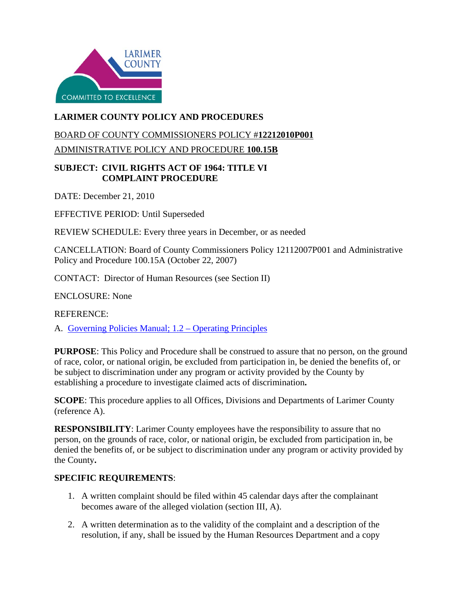

## **LARIMER COUNTY POLICY AND PROCEDURES**

# BOARD OF COUNTY COMMISSIONERS POLICY #**12212010P001**

ADMINISTRATIVE POLICY AND PROCEDURE **100.15B**

#### **SUBJECT: CIVIL RIGHTS ACT OF 1964: TITLE VI COMPLAINT PROCEDURE**

DATE: December 21, 2010

EFFECTIVE PERIOD: Until Superseded

REVIEW SCHEDULE: Every three years in December, or as needed

CANCELLATION: Board of County Commissioners Policy 12112007P001 and Administrative Policy and Procedure 100.15A (October 22, 2007)

CONTACT: Director of Human Resources (see Section II)

ENCLOSURE: None

REFERENCE:

A. [Governing Policies Manual; 1.2 –](http://www.larimer.org/policies/governing_policies.pdf) Operating Principles

**PURPOSE**: This Policy and Procedure shall be construed to assure that no person, on the ground of race, color, or national origin, be excluded from participation in, be denied the benefits of, or be subject to discrimination under any program or activity provided by the County by establishing a procedure to investigate claimed acts of discrimination**.**

**SCOPE**: This procedure applies to all Offices, Divisions and Departments of Larimer County (reference A).

**RESPONSIBILITY**: Larimer County employees have the responsibility to assure that no person, on the grounds of race, color, or national origin, be excluded from participation in, be denied the benefits of, or be subject to discrimination under any program or activity provided by the County**.** 

### **SPECIFIC REQUIREMENTS**:

- 1. A written complaint should be filed within 45 calendar days after the complainant becomes aware of the alleged violation (section III, A).
- 2. A written determination as to the validity of the complaint and a description of the resolution, if any, shall be issued by the Human Resources Department and a copy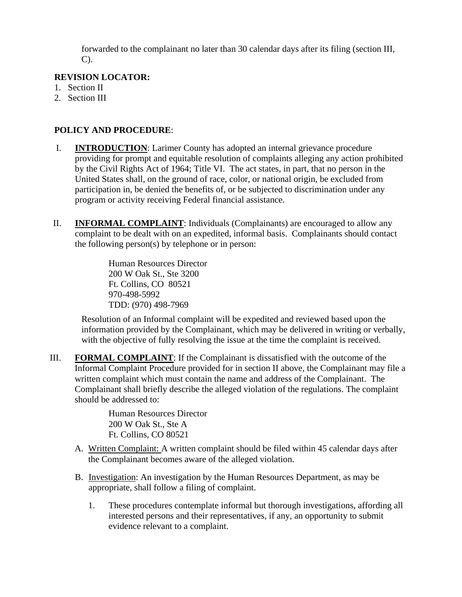forwarded to the complainant no later than 30 calendar days after its filing (section III,  $C$ ).

#### **REVISION LOCATOR:**

- 1. Section II
- 2. Section III

#### **POLICY AND PROCEDURE**:

- I. **INTRODUCTION**: Larimer County has adopted an internal grievance procedure providing for prompt and equitable resolution of complaints alleging any action prohibited by the Civil Rights Act of 1964; Title VI. The act states, in part, that no person in the United States shall, on the ground of race, color, or national origin, be excluded from participation in, be denied the benefits of, or be subjected to discrimination under any program or activity receiving Federal financial assistance.
- II. **INFORMAL COMPLAINT**: Individuals (Complainants) are encouraged to allow any complaint to be dealt with on an expedited, informal basis. Complainants should contact the following person(s) by telephone or in person:

Human Resources Director 200 W Oak St., Ste 3200 Ft. Collins, CO 80521 970-498-5992 TDD: (970) 498-7969

Resolution of an Informal complaint will be expedited and reviewed based upon the information provided by the Complainant, which may be delivered in writing or verbally, with the objective of fully resolving the issue at the time the complaint is received.

III. **FORMAL COMPLAINT**: If the Complainant is dissatisfied with the outcome of the Informal Complaint Procedure provided for in section II above, the Complainant may file a written complaint which must contain the name and address of the Complainant. The Complainant shall briefly describe the alleged violation of the regulations. The complaint should be addressed to:

> Human Resources Director 200 W Oak St., Ste A Ft. Collins, CO 80521

- A. Written Complaint: A written complaint should be filed within 45 calendar days after the Complainant becomes aware of the alleged violation.
- B. Investigation: An investigation by the Human Resources Department, as may be appropriate, shall follow a filing of complaint.
	- 1. These procedures contemplate informal but thorough investigations, affording all interested persons and their representatives, if any, an opportunity to submit evidence relevant to a complaint.